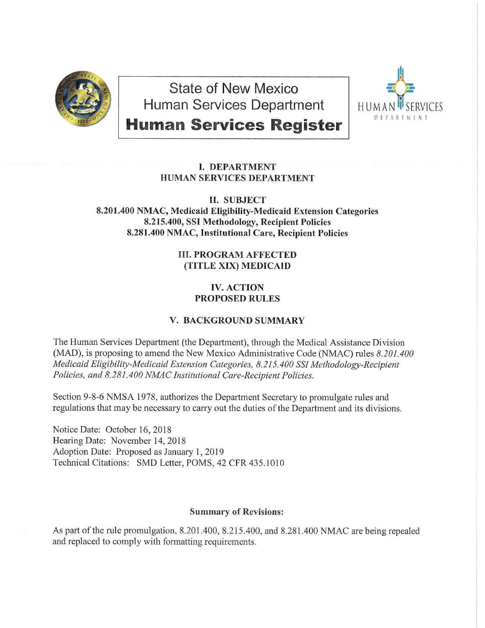

State of New Mexico Human Services Department



**Human Services Register** 

## **I. DEPARTMENT HUMAN SERVICES DEPARTMENT**

## **II. SUBJECT** 8.201.400 NMAC, Medicaid Eligibility-Medicaid Extension Categories 8.215.400, SSI Methodology, Recipient Policies 8.281.400 NMAC, Institutional Care, Recipient Policies

## **III. PROGRAM AFFECTED** (TITLE XIX) MEDICAID

# **IV. ACTION PROPOSED RULES**

# **V. BACKGROUND SUMMARY**

The Human Services Department (the Department), through the Medical Assistance Division (MAD), is proposing to amend the New Mexico Administrative Code (NMAC) rules 8.201.400 Medicaid Eligibility-Medicaid Extension Categories, 8.215.400 SSI Methodology-Recipient Policies, and 8.281.400 NMAC Institutional Care-Recipient Policies.

Section 9-8-6 NMSA 1978, authorizes the Department Secretary to promulgate rules and regulations that may be necessary to carry out the duties of the Department and its divisions.

Notice Date: October 16, 2018 Hearing Date: November 14, 2018 Adoption Date: Proposed as January 1, 2019 Technical Citations: SMD Letter, POMS, 42 CFR 435.1010

# **Summary of Revisions:**

As part of the rule promulgation, 8.201.400, 8.215.400, and 8.281.400 NMAC are being repealed and replaced to comply with formatting requirements.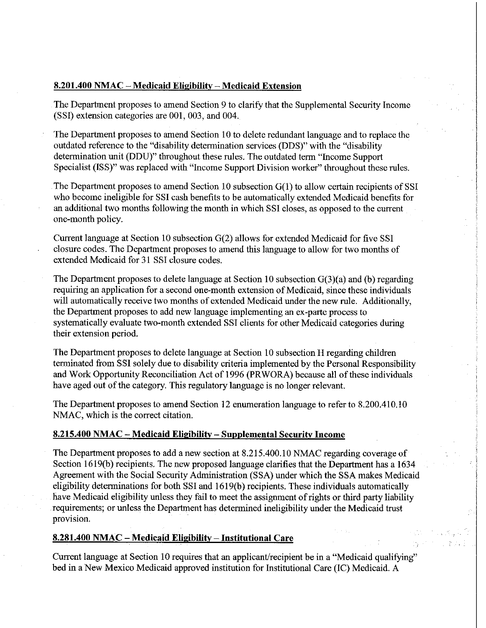#### **8.201.400 NMAC- Medicaid Eligibility- Medicaid Extension**

The Department proposes to amend Section 9 to clarify that the Supplemental Security Income (SSI) extension categories are 001, 003, and 004.

The Department proposes to amend Section 10 to delete redundant language and to replace the outdated reference to the "disability determination services (DDS)" with the "disability determination unit (DDU)" throughout these rules. The outdated term "Income Support Specialist (ISS)" was replaced with "Income Support Division worker" throughout these rules.

The Department proposes to amend Section 10 subsection G(1) to allow certain recipients of SSI who become ineligible for SSI cash benefits to be automatically extended Medicaid benefits for an additional two months following the month in which SSI closes, as opposed to the current one-month policy.

Current language at Section 10 subsection G(2) allows for extended Medicaid for five SSI closure codes. The Department proposes to amend this language to allow for two months of extended Medicaid for 31 SSI closure codes.

The Department proposes to delete language at Section 10 subsection G(3)(a) and (b) regarding requiring an application for a second one-month extension of Medicaid, since these individuals will automatically receive two months of extended Medicaid under the new rule. Additionally, the Department proposes to add new language implementing an ex -parte process to systematically evaluate two-month extended SSI clients for other Medicaid categories during their extension period.

The Department proposes to delete language at Section 10 subsection H regarding children terminated from SSI solely due to disability criteria implemented by the Personal Responsibility and Work Opportunity Reconciliation Act of 1996 (PRWORA) because all of these individuals have aged out of the category. This regulatory language is no longer relevant.

The Department proposes to amend Section 12 enumeration language to refer to 8.200.410.10 NMAC, which is the correct citation.

#### **8.215.400 NMAC- Medicaid Eligibility- Supplemental Security Income**

The Department proposes to add a new section at 8.215.400.10 NMAC regarding coverage of Section 1619(b) recipients. The new proposed language clarifies that the Department has a 1634 Agreement with the Social Security Administration (SSA) under which the SSA makes Medicaid eligibility determinations for both SSI and 1619(b) recipients. These individuals automatically have Medicaid eligibility unless they fail to meet the assignment of rights or third party liability requirements; or unless the Department has determined ineligibility under the Medicaid trust provision.

#### **8.281.400 NMAC - Medicaid Eligibility- Institutional Care**

Current language at Section 10 requires that an applicant/recipient be in a "Medicaid qualifying" bed in a New Mexico Medicaid approved institution for Institutional Care (IC) Medicaid. A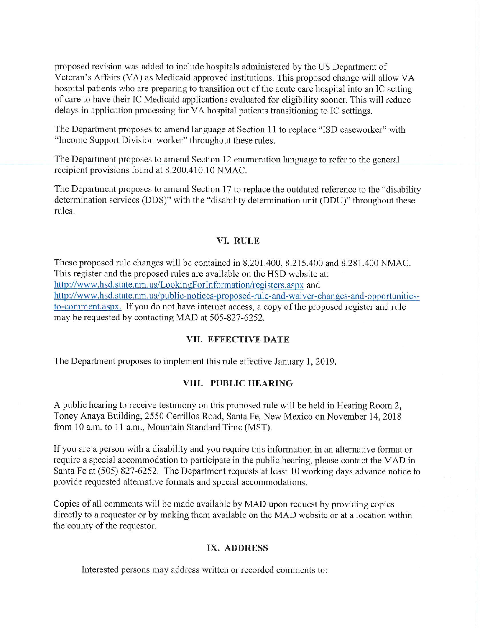proposed revision was added to include hospitals administered by the US Department of Veteran's Affairs (VA) as Medicaid approved institutions. This proposed change will allow VA hospital patients who are preparing to transition out of the acute care hospital into an IC setting of care to have their IC Medicaid applications evaluated for eligibility sooner. This will reduce delays in application processing for VA hospital patients transitioning to IC settings.

The Department proposes to amend language at Section 11 to replace "ISD caseworker" with "Income Support Division worker" throughout these rules.

The Department proposes to amend Section 12 enumeration language to refer to the general recipient provisions found at 8.200.410.10 NMAC.

The Department proposes to amend Section 17 to replace the outdated reference to the "disability determination services (DDS)" with the "disability determination unit (DDU)" throughout these rules.

### **VI. RULE**

These proposed rule changes will be contained in 8.201.400, 8.215.400 and 8.281.400 NMAC. This register and the proposed rules are available on the HSD website at: http://www.hsd.state.nm.us/LookingForInformation/registers.aspx and http://www.hsd.state.nm.us/public-notices-proposed-rule-and-waiver-changes-and-opportunitiesto-comment.aspx. If you do not have internet access, a copy of the proposed register and rule may be requested by contacting MAD at 505-827-6252.

#### VII. **EFFECTIVE DATE**

The Department proposes to implement this rule effective January 1, 2019.

#### **VIII. PUBLIC HEARING**

A public hearing to receive testimony on this proposed rule will be held in Hearing Room 2, Toney Anaya Building, 2550 Cerrillos Road, Santa Fe, New Mexico on November 14, 2018 from 10 a.m. to 11 a.m., Mountain Standard Time (MST).

If you are a person with a disability and you require this information in an alternative fonnat or require a special accommodation to participate in the public hearing, please contact the MAD in Santa Fe at (505) 827-6252. The Department requests at least 10 working days advance notice to provide requested alternative formats and special accommodations.

Copies of all comments will be made available by MAD upon request by providing copies directly to a requestor or by making them available on the MAD website or at a location within the county of the requestor.

#### IX. **ADDRESS**

Interested persons may address written or recorded comments to: